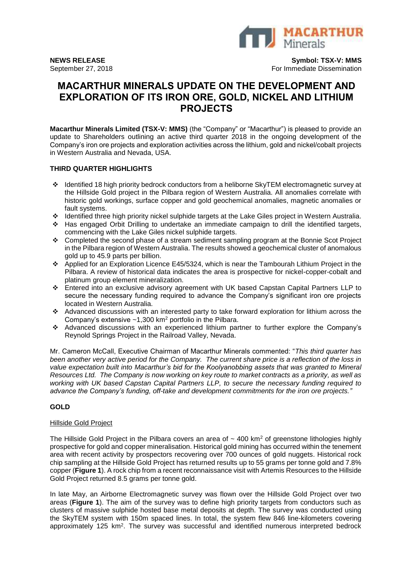

**NEWS RELEASE Symbol: TSX-V: MMS** September 27, 2018 **For Immediate Dissemination** For Immediate Dissemination

# **MACARTHUR MINERALS UPDATE ON THE DEVELOPMENT AND EXPLORATION OF ITS IRON ORE, GOLD, NICKEL AND LITHIUM PROJECTS**

**Macarthur Minerals Limited (TSX-V: MMS)** (the "Company" or "Macarthur") is pleased to provide an update to Shareholders outlining an active third quarter 2018 in the ongoing development of the Company's iron ore projects and exploration activities across the lithium, gold and nickel/cobalt projects in Western Australia and Nevada, USA.

## **THIRD QUARTER HIGHLIGHTS**

- ❖ Identified 18 high priority bedrock conductors from a heliborne SkyTEM electromagnetic survey at the Hillside Gold project in the Pilbara region of Western Australia. All anomalies correlate with historic gold workings, surface copper and gold geochemical anomalies, magnetic anomalies or fault systems.
- ❖ Identified three high priority nickel sulphide targets at the Lake Giles project in Western Australia.
- ❖ Has engaged Orbit Drilling to undertake an immediate campaign to drill the identified targets, commencing with the Lake Giles nickel sulphide targets.
- ❖ Completed the second phase of a stream sediment sampling program at the Bonnie Scot Project in the Pilbara region of Western Australia. The results showed a geochemical cluster of anomalous gold up to 45.9 parts per billion.
- ❖ Applied for an Exploration Licence E45/5324, which is near the Tambourah Lithium Project in the Pilbara. A review of historical data indicates the area is prospective for nickel-copper-cobalt and platinum group element mineralization.
- ❖ Entered into an exclusive advisory agreement with UK based Capstan Capital Partners LLP to secure the necessary funding required to advance the Company's significant iron ore projects located in Western Australia.
- ❖ Advanced discussions with an interested party to take forward exploration for lithium across the Company's extensive  $~1,300$  km<sup>2</sup> portfolio in the Pilbara.
- ❖ Advanced discussions with an experienced lithium partner to further explore the Company's Reynold Springs Project in the Railroad Valley, Nevada.

Mr. Cameron McCall, Executive Chairman of Macarthur Minerals commented: "*This third quarter has been another very active period for the Company. The current share price is a reflection of the loss in value expectation built into Macarthur's bid for the Koolyanobbing assets that was granted to Mineral Resources Ltd. The Company is now working on key route to market contracts as a priority, as well as working with UK based Capstan Capital Partners LLP, to secure the necessary funding required to advance the Company's funding, off-take and development commitments for the iron ore projects."*

## **GOLD**

## Hillside Gold Project

The Hillside Gold Project in the Pilbara covers an area of  $\sim$  400 km<sup>2</sup> of greenstone lithologies highly prospective for gold and copper mineralisation. Historical gold mining has occurred within the tenement area with recent activity by prospectors recovering over 700 ounces of gold nuggets. Historical rock chip sampling at the Hillside Gold Project has returned results up to 55 grams per tonne gold and 7.8% copper (**Figure 1**). A rock chip from a recent reconnaissance visit with Artemis Resources to the Hillside Gold Project returned 8.5 grams per tonne gold.

In late May, an Airborne Electromagnetic survey was flown over the Hillside Gold Project over two areas (**Figure 1**). The aim of the survey was to define high priority targets from conductors such as clusters of massive sulphide hosted base metal deposits at depth. The survey was conducted using the SkyTEM system with 150m spaced lines. In total, the system flew 846 line-kilometers covering approximately 125 km<sup>2</sup>. The survey was successful and identified numerous interpreted bedrock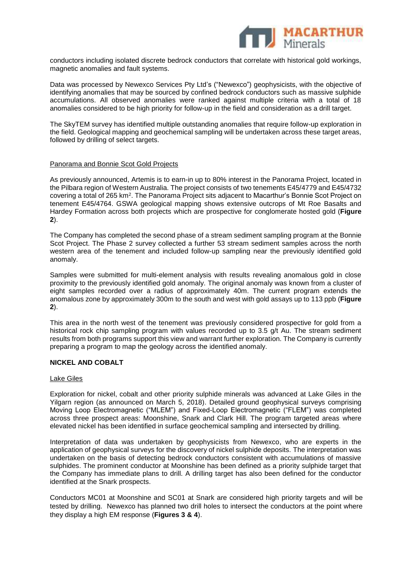

conductors including isolated discrete bedrock conductors that correlate with historical gold workings, magnetic anomalies and fault systems.

Data was processed by Newexco Services Pty Ltd's ("Newexco") geophysicists, with the objective of identifying anomalies that may be sourced by confined bedrock conductors such as massive sulphide accumulations. All observed anomalies were ranked against multiple criteria with a total of 18 anomalies considered to be high priority for follow-up in the field and consideration as a drill target.

The SkyTEM survey has identified multiple outstanding anomalies that require follow-up exploration in the field. Geological mapping and geochemical sampling will be undertaken across these target areas, followed by drilling of select targets.

#### Panorama and Bonnie Scot Gold Projects

As previously announced, Artemis is to earn-in up to 80% interest in the Panorama Project, located in the Pilbara region of Western Australia. The project consists of two tenements E45/4779 and E45/4732 covering a total of 265 km<sup>2</sup>. The Panorama Project sits adjacent to Macarthur's Bonnie Scot Project on tenement E45/4764. GSWA geological mapping shows extensive outcrops of Mt Roe Basalts and Hardey Formation across both projects which are prospective for conglomerate hosted gold (**Figure 2**).

The Company has completed the second phase of a stream sediment sampling program at the Bonnie Scot Project. The Phase 2 survey collected a further 53 stream sediment samples across the north western area of the tenement and included follow-up sampling near the previously identified gold anomaly.

Samples were submitted for multi-element analysis with results revealing anomalous gold in close proximity to the previously identified gold anomaly. The original anomaly was known from a cluster of eight samples recorded over a radius of approximately 40m. The current program extends the anomalous zone by approximately 300m to the south and west with gold assays up to 113 ppb (**Figure 2**).

This area in the north west of the tenement was previously considered prospective for gold from a historical rock chip sampling program with values recorded up to 3.5 g/t Au. The stream sediment results from both programs support this view and warrant further exploration. The Company is currently preparing a program to map the geology across the identified anomaly.

## **NICKEL AND COBALT**

## Lake Giles

Exploration for nickel, cobalt and other priority sulphide minerals was advanced at Lake Giles in the Yilgarn region (as announced on March 5, 2018). Detailed ground geophysical surveys comprising Moving Loop Electromagnetic ("MLEM") and Fixed-Loop Electromagnetic ("FLEM") was completed across three prospect areas: Moonshine, Snark and Clark Hill. The program targeted areas where elevated nickel has been identified in surface geochemical sampling and intersected by drilling.

Interpretation of data was undertaken by geophysicists from Newexco, who are experts in the application of geophysical surveys for the discovery of nickel sulphide deposits. The interpretation was undertaken on the basis of detecting bedrock conductors consistent with accumulations of massive sulphides. The prominent conductor at Moonshine has been defined as a priority sulphide target that the Company has immediate plans to drill. A drilling target has also been defined for the conductor identified at the Snark prospects.

Conductors MC01 at Moonshine and SC01 at Snark are considered high priority targets and will be tested by drilling. Newexco has planned two drill holes to intersect the conductors at the point where they display a high EM response (**Figures 3 & 4**).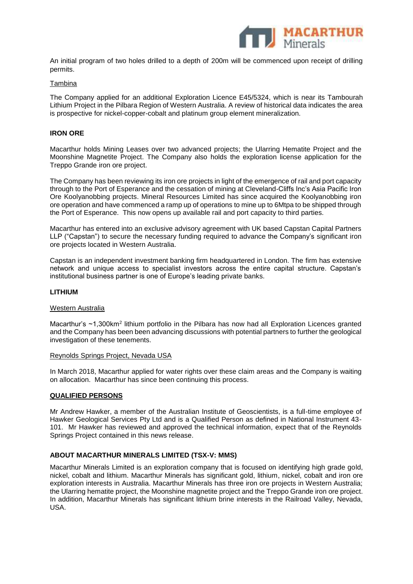

An initial program of two holes drilled to a depth of 200m will be commenced upon receipt of drilling permits.

#### Tambina

The Company applied for an additional Exploration Licence E45/5324, which is near its Tambourah Lithium Project in the Pilbara Region of Western Australia. A review of historical data indicates the area is prospective for nickel-copper-cobalt and platinum group element mineralization.

## **IRON ORE**

Macarthur holds Mining Leases over two advanced projects; the Ularring Hematite Project and the Moonshine Magnetite Project. The Company also holds the exploration license application for the Treppo Grande iron ore project.

The Company has been reviewing its iron ore projects in light of the emergence of rail and port capacity through to the Port of Esperance and the cessation of mining at Cleveland-Cliffs Inc's Asia Pacific Iron Ore Koolyanobbing projects. Mineral Resources Limited has since acquired the Koolyanobbing iron ore operation and have commenced a ramp up of operations to mine up to 6Mtpa to be shipped through the Port of Esperance. This now opens up available rail and port capacity to third parties.

Macarthur has entered into an exclusive advisory agreement with UK based Capstan Capital Partners LLP ("Capstan") to secure the necessary funding required to advance the Company's significant iron ore projects located in Western Australia.

Capstan is an independent investment banking firm headquartered in London. The firm has extensive network and unique access to specialist investors across the entire capital structure. Capstan's institutional business partner is one of Europe's leading private banks.

#### **LITHIUM**

#### Western Australia

Macarthur's ~1,300km<sup>2</sup> lithium portfolio in the Pilbara has now had all Exploration Licences granted and the Company has been been advancing discussions with potential partners to further the geological investigation of these tenements.

#### Reynolds Springs Project, Nevada USA

In March 2018, Macarthur applied for water rights over these claim areas and the Company is waiting on allocation. Macarthur has since been continuing this process.

#### **QUALIFIED PERSONS**

Mr Andrew Hawker, a member of the Australian Institute of Geoscientists, is a full-time employee of Hawker Geological Services Pty Ltd and is a Qualified Person as defined in National Instrument 43- 101. Mr Hawker has reviewed and approved the technical information, expect that of the Reynolds Springs Project contained in this news release.

## **ABOUT MACARTHUR MINERALS LIMITED (TSX-V: MMS)**

Macarthur Minerals Limited is an exploration company that is focused on identifying high grade gold, nickel, cobalt and lithium. Macarthur Minerals has significant gold, lithium, nickel, cobalt and iron ore exploration interests in Australia. Macarthur Minerals has three iron ore projects in Western Australia; the Ularring hematite project, the Moonshine magnetite project and the Treppo Grande iron ore project. In addition, Macarthur Minerals has significant lithium brine interests in the Railroad Valley, Nevada, USA.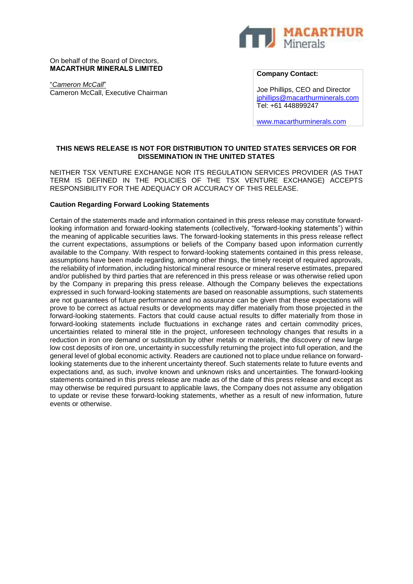

On behalf of the Board of Directors, **MACARTHUR MINERALS LIMITED**

"*Cameron McCall*" Cameron McCall, Executive Chairman **Company Contact:** 

Joe Phillips, CEO and Director [jphillips@macarthurminerals.com](mailto:jphillips@macarthurminerals.com) Tel: +61 448899247

[www.macarthurminerals.com](http://www.macarthurminerals.com/)

# **THIS NEWS RELEASE IS NOT FOR DISTRIBUTION TO UNITED STATES SERVICES OR FOR DISSEMINATION IN THE UNITED STATES**

NEITHER TSX VENTURE EXCHANGE NOR ITS REGULATION SERVICES PROVIDER (AS THAT TERM IS DEFINED IN THE POLICIES OF THE TSX VENTURE EXCHANGE) ACCEPTS RESPONSIBILITY FOR THE ADEQUACY OR ACCURACY OF THIS RELEASE.

## **Caution Regarding Forward Looking Statements**

Certain of the statements made and information contained in this press release may constitute forwardlooking information and forward-looking statements (collectively, "forward-looking statements") within the meaning of applicable securities laws. The forward-looking statements in this press release reflect the current expectations, assumptions or beliefs of the Company based upon information currently available to the Company. With respect to forward-looking statements contained in this press release, assumptions have been made regarding, among other things, the timely receipt of required approvals, the reliability of information, including historical mineral resource or mineral reserve estimates, prepared and/or published by third parties that are referenced in this press release or was otherwise relied upon by the Company in preparing this press release. Although the Company believes the expectations expressed in such forward-looking statements are based on reasonable assumptions, such statements are not guarantees of future performance and no assurance can be given that these expectations will prove to be correct as actual results or developments may differ materially from those projected in the forward-looking statements. Factors that could cause actual results to differ materially from those in forward-looking statements include fluctuations in exchange rates and certain commodity prices, uncertainties related to mineral title in the project, unforeseen technology changes that results in a reduction in iron ore demand or substitution by other metals or materials, the discovery of new large low cost deposits of iron ore, uncertainty in successfully returning the project into full operation, and the general level of global economic activity. Readers are cautioned not to place undue reliance on forwardlooking statements due to the inherent uncertainty thereof. Such statements relate to future events and expectations and, as such, involve known and unknown risks and uncertainties. The forward-looking statements contained in this press release are made as of the date of this press release and except as may otherwise be required pursuant to applicable laws, the Company does not assume any obligation to update or revise these forward-looking statements, whether as a result of new information, future events or otherwise.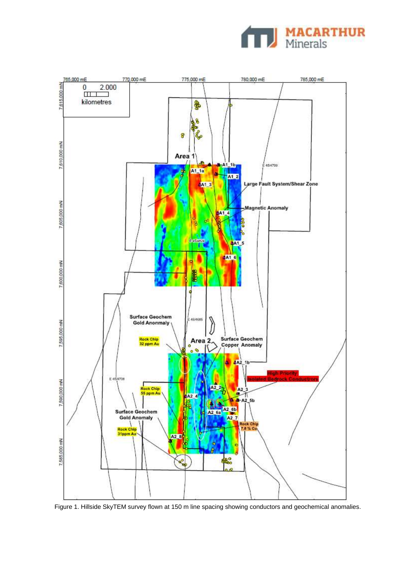



Figure 1. Hillside SkyTEM survey flown at 150 m line spacing showing conductors and geochemical anomalies.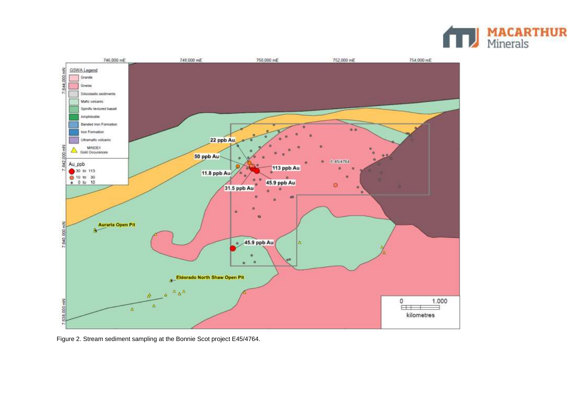



Figure 2. Stream sediment sampling at the Bonnie Scot project E45/4764.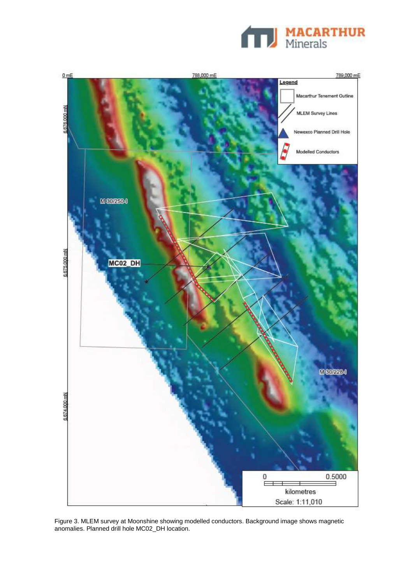



Figure 3. MLEM survey at Moonshine showing modelled conductors. Background image shows magnetic anomalies. Planned drill hole MC02\_DH location.